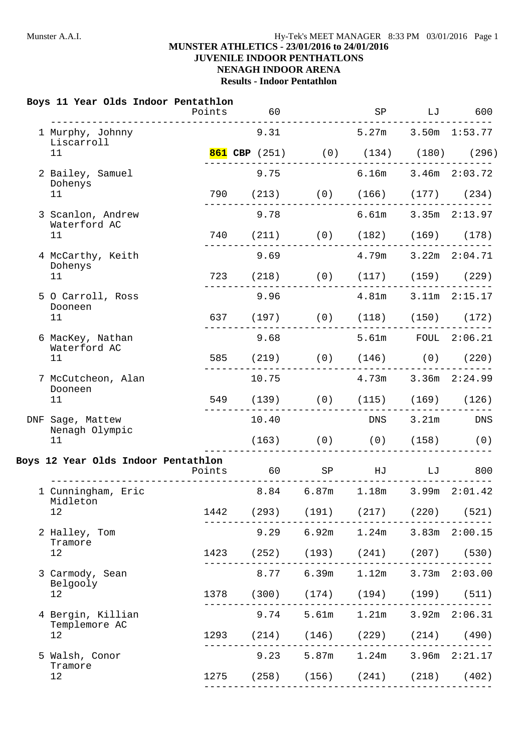## **MUNSTER ATHLETICS - 23/01/2016 to 24/01/2016 JUVENILE INDOOR PENTHATLONS**

# **NENAGH INDOOR ARENA**

**Results - Indoor Pentathlon**

#### **Boys 11 Year Olds Indoor Pentathlon**

|                                     | Points                                     | 60                                         |       | SP                              | LJ    | 600               |
|-------------------------------------|--------------------------------------------|--------------------------------------------|-------|---------------------------------|-------|-------------------|
| 1 Murphy, Johnny<br>Liscarroll      |                                            | 9.31                                       |       | $5.27m$ $3.50m$ $1:53.77$       |       |                   |
| 11                                  |                                            | <b>861 CBP</b> (251) (0) (134) (180) (296) |       |                                 |       |                   |
| 2 Bailey, Samuel<br>Dohenys         |                                            | 9.75                                       |       | $6.16m$ $3.46m$ $2:03.72$       |       |                   |
| 11                                  |                                            | 790 (213) (0) (166) (177) (234)            |       |                                 |       |                   |
| 3 Scanlon, Andrew<br>Waterford AC   |                                            | 9.78                                       |       | $6.61m$ $3.35m$ $2:13.97$       |       |                   |
| 11                                  |                                            | 740 (211) (0) (182) (169) (178)            |       |                                 |       |                   |
| 4 McCarthy, Keith<br>Dohenys        |                                            |                                            |       |                                 |       |                   |
| 11 <sup>1</sup>                     | $- - - - - - - -$                          | 723 (218) (0) (117) (159) (229)            |       |                                 |       |                   |
| 5 O Carroll, Ross<br>Dooneen        |                                            |                                            |       |                                 |       |                   |
| 11                                  |                                            | 637 (197) (0) (118) (150) (172)            |       |                                 |       |                   |
| 6 MacKey, Nathan<br>Waterford AC    |                                            | 9.68                                       |       | 5.61m FOUL 2:06.21              |       |                   |
| 11                                  |                                            | 585 (219) (0) (146) (0) (220)              |       |                                 |       |                   |
| 7 McCutcheon, Alan                  |                                            | 10.75                                      |       | $4.73m$ $3.36m$ $2:24.99$       |       |                   |
| Dooneen<br>11                       |                                            | 549 (139) (0) (115) (169) (126)            |       | ----------------------------    |       |                   |
| DNF Sage, Mattew                    |                                            | 10.40                                      |       | <b>DNS</b>                      | 3.21m | DNS               |
| Nenagh Olympic<br>11                |                                            |                                            |       | $(163)$ $(0)$ $(158)$ $(0)$     |       |                   |
| Boys 12 Year Olds Indoor Pentathlon | Points<br>________________________________ | 60 SP HJ LJ 800                            |       |                                 |       |                   |
| 1 Cunningham, Eric<br>Midleton      |                                            |                                            |       | 8.84 6.87m 1.18m 3.99m 2:01.42  |       |                   |
| 12                                  | 1442                                       | (293)                                      | (191) | (217)                           |       | $(220)$ $(521)$   |
| 2 Halley, Tom                       |                                            | 9.29                                       | 6.92m | 1.24m                           |       | $3.83m$ $2:00.15$ |
| Tramore<br>12                       |                                            | 1423 (252)                                 |       | $(193)$ $(241)$                 |       | $(207)$ (530)     |
| 3 Carmody, Sean                     |                                            | 8.77                                       | 6.39m | 1.12m                           |       | $3.73m$ $2:03.00$ |
| Belgooly                            |                                            | 1378 (300)                                 |       | $(174)$ $(194)$                 |       | $(199)$ $(511)$   |
| 12                                  |                                            |                                            |       |                                 |       |                   |
| 4 Bergin, Killian                   |                                            | 9.74                                       |       | $5.61m$ $1.21m$                 |       |                   |
| Templemore AC<br>12                 |                                            | 1293 (214)                                 |       | $(146)$ $(229)$ $(214)$ $(490)$ |       | $3.92m$ $2:06.31$ |
| 5 Walsh, Conor                      |                                            | 9.23                                       |       | 5.87m 1.24m 3.96m 2:21.17       |       |                   |
| Tramore<br>12                       | 1275                                       | (258)                                      |       | $(156)$ $(241)$                 |       | $(218)$ $(402)$   |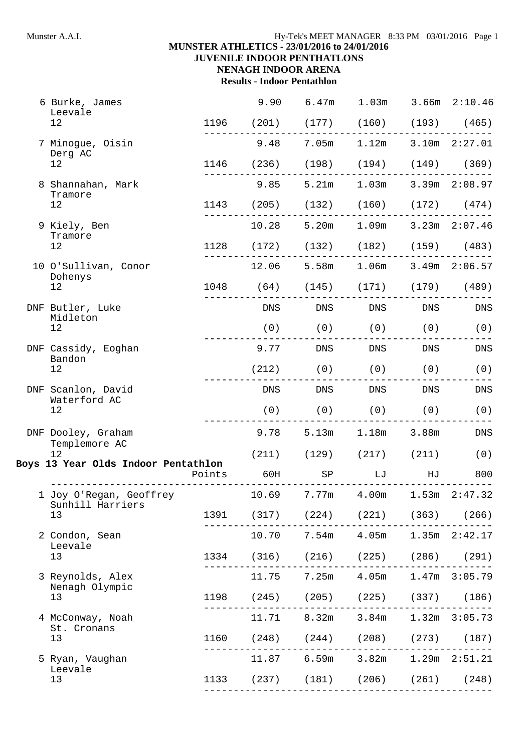# **MUNSTER ATHLETICS - 23/01/2016 to 24/01/2016**

**JUVENILE INDOOR PENTHATLONS NENAGH INDOOR ARENA**

**Results - Indoor Pentathlon**

| 6 Burke, James<br>Leevale           | 9.90  |                                                                      | 6.47m 1.03m 3.66m 2:10.46 |            |     |
|-------------------------------------|-------|----------------------------------------------------------------------|---------------------------|------------|-----|
| 12                                  |       | 1196 (201) (177) (160) (193) (465)                                   |                           |            |     |
| 7 Minogue, Oisin<br>Derg AC         | 9.48  |                                                                      | 7.05m 1.12m 3.10m 2:27.01 |            |     |
| 12                                  |       | 1146 (236) (198) (194) (149) (369)                                   |                           |            |     |
| 8 Shannahan, Mark                   | 9.85  |                                                                      | 5.21m 1.03m 3.39m 2:08.97 |            |     |
| Tramore<br>12                       |       | 1143 (205) (132) (160) (172) (474)                                   |                           |            |     |
| 9 Kiely, Ben                        | 10.28 |                                                                      | 5.20m 1.09m 3.23m 2:07.46 |            |     |
| Tramore<br>12                       |       | 1128 (172) (132) (182) (159) (483)                                   |                           |            |     |
| 10 O'Sullivan, Conor                | 12.06 |                                                                      | 5.58m 1.06m 3.49m 2:06.57 |            |     |
| Dohenys<br>12                       |       | 1048 (64) (145) (171) (179) (489)                                    |                           |            |     |
| DNF Butler, Luke<br>Midleton        |       | DNS DNS DNS DNS                                                      |                           |            | DNS |
| 12                                  |       | $(0)$ $(0)$ $(0)$ $(0)$                                              |                           |            | (0) |
| DNF Cassidy, Eoghan<br>Bandon       |       | 9.77 DNS DNS                                                         |                           | <b>DNS</b> | DNS |
| 12                                  |       | $(212)$ $(0)$ $(0)$ $(0)$                                            |                           |            | (0) |
| DNF Scanlon, David<br>Waterford AC  |       | DNS DNS DNS DNS DNS                                                  |                           |            | DNS |
| 12                                  |       | $(0)$ $(0)$ $(0)$ $(0)$                                              |                           |            | (0) |
| DNF Dooley, Graham<br>Templemore AC |       | $9.78$ $5.13m$ $1.18m$ $3.88m$                                       |                           |            | DNS |
| 12                                  |       | $(211)$ $(129)$ $(217)$ $(211)$                                      |                           |            | (0) |
| Boys 13 Year Olds Indoor Pentathlon |       | Points 60H SP LJ HJ<br>_______                                       |                           |            | 800 |
| 1 Joy O'Regan, Geoffrey             |       | $10.69$ $7.77m$ $4.00m$ $1.53m$ $2:47.32$                            |                           |            |     |
| Sunhill Harriers<br>13              |       | 1391 (317) (224) (221) (363) (266)                                   |                           |            |     |
| 2 Condon, Sean<br>Leevale           |       | 10.70 7.54m 4.05m 1.35m 2:42.17                                      |                           |            |     |
| 13                                  |       | 1334 (316) (216) (225) (286) (291)                                   |                           |            |     |
| 3 Reynolds, Alex                    |       | ---------------------------------<br>11.75 7.25m 4.05m 1.47m 3:05.79 |                           |            |     |
| Nenagh Olympic<br>13                |       | 1198 (245) (205) (225) (337) (186)                                   |                           |            |     |
| 4 McConway, Noah                    |       | 11.71 8.32m 3.84m 1.32m 3:05.73                                      |                           |            |     |
| St. Cronans<br>13                   |       | 1160 (248) (244) (208) (273) (187)                                   |                           |            |     |
| 5 Ryan, Vaughan<br>Leevale          |       | 11.87 6.59m 3.82m 1.29m 2:51.21                                      |                           |            |     |
| 13                                  |       | 1133 (237) (181) (206) (261) (248)                                   |                           |            |     |
|                                     |       |                                                                      |                           |            |     |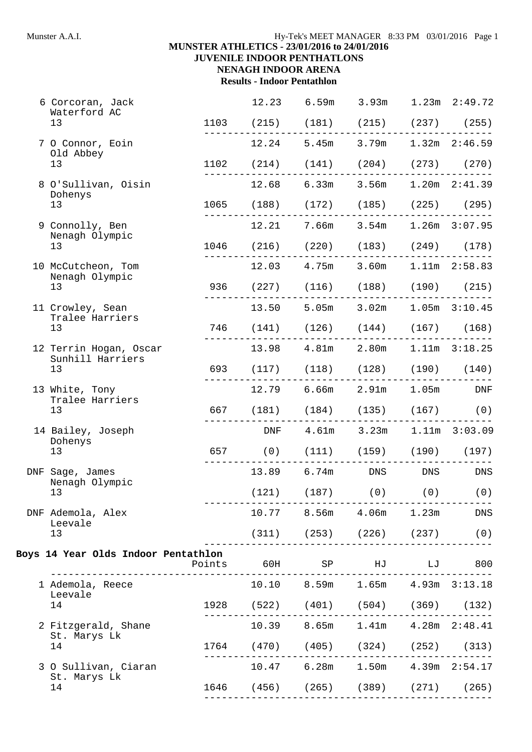## Munster A.A.I. **Hy-Tek's MEET MANAGER** 8:33 PM 03/01/2016 Page 1

# **MUNSTER ATHLETICS - 23/01/2016 to 24/01/2016**

**JUVENILE INDOOR PENTHATLONS NENAGH INDOOR ARENA**

**Results - Indoor Pentathlon**

| 6 Corcoran, Jack                           |            | 12.23         | 6.59m                                          |                           | $3.93m$ $1.23m$ $2:49.72$ |
|--------------------------------------------|------------|---------------|------------------------------------------------|---------------------------|---------------------------|
| Waterford AC<br>13                         |            |               | 1103 (215) (181) (215) (237) (255)             |                           |                           |
| 7 O Connor, Eoin                           |            |               | 12.24 5.45m 3.79m 1.32m 2:46.59                | ------------------------  |                           |
| Old Abbey<br>13                            |            |               | $1102$ $(214)$ $(141)$ $(204)$ $(273)$ $(270)$ |                           |                           |
| 8 O'Sullivan, Oisin                        |            | 12.68         |                                                | 6.33m 3.56m 1.20m 2:41.39 |                           |
| Dohenys<br>13                              |            |               | 1065 (188) (172) (185) (225) (295)             |                           |                           |
| 9 Connolly, Ben                            |            |               | 12.21 7.66m 3.54m 1.26m 3:07.95                |                           |                           |
| Nenagh Olympic<br>13                       |            |               | 1046 (216) (220) (183) (249) (178)             |                           |                           |
| 10 McCutcheon, Tom<br>Nenagh Olympic       |            |               | 12.03 4.75m 3.60m 1.11m 2:58.83                |                           |                           |
| 13                                         |            |               | 936 (227) (116) (188) (190) (215)              |                           |                           |
| 11 Crowley, Sean<br>Tralee Harriers        |            |               | 13.50 5.05m 3.02m 1.05m 3:10.45                |                           |                           |
| 13                                         |            | ------------- | 746 (141) (126) (144) (167) (168)              |                           |                           |
| 12 Terrin Hogan, Oscar<br>Sunhill Harriers |            |               | 13.98  4.81m  2.80m  1.11m  3:18.25            |                           |                           |
| 13                                         |            |               | 693 (117) (118) (128) (190) (140)              |                           |                           |
| 13 White, Tony<br>Tralee Harriers          |            |               | 12.79 6.66m 2.91m 1.05m DNF                    |                           |                           |
| 13                                         | 667        |               | $(181)$ $(184)$ $(135)$ $(167)$ $(0)$          |                           |                           |
| 14 Bailey, Joseph                          |            | DNF           |                                                | 4.61m 3.23m 1.11m 3:03.09 |                           |
| Dohenys<br>13                              |            |               | 657 (0) (111) (159) (190) (197)                |                           |                           |
| DNF Sage, James                            |            |               | 13.89 6.74m DNS DNS                            |                           | DNS                       |
| Nenagh Olympic<br>13                       |            |               | $(121)$ $(187)$ $(0)$ $(0)$ $(0)$              |                           |                           |
| DNF Ademola, Alex<br>Leevale               |            |               | 10.77 8.56m 4.06m 1.23m                        |                           | DNS                       |
| 13                                         |            |               | $(311)$ $(253)$ $(226)$ $(237)$ $(0)$          |                           |                           |
| Boys 14 Year Olds Indoor Pentathlon        |            |               | Points 60H SP HJ LJ 800                        |                           |                           |
| 1 Ademola, Reece                           |            |               | 10.10 8.59m 1.65m 4.93m 3:13.18                |                           |                           |
| Leevale<br>14                              |            |               | 1928 (522) (401) (504) (369) (132)             |                           |                           |
| 2 Fitzgerald, Shane                        | ---------  |               | 10.39 8.65m 1.41m 4.28m 2:48.41                |                           |                           |
| St. Marys Lk<br>14                         |            |               | 1764 (470) (405) (324) (252) (313)             |                           |                           |
| 3 O Sullivan, Ciaran                       | ---------- |               | 10.47 6.28m 1.50m 4.39m 2:54.17                |                           |                           |
| St. Marys Lk<br>14                         |            |               | 1646 (456) (265) (389) (271) (265)             |                           |                           |
|                                            |            |               |                                                |                           |                           |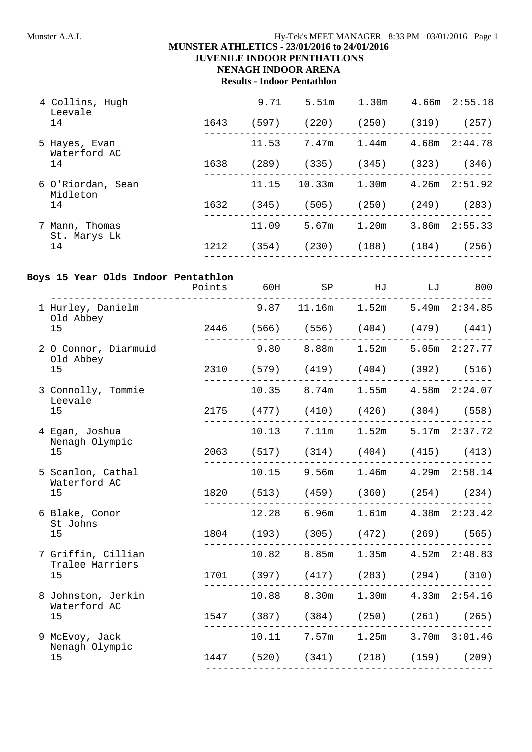## Munster A.A.I. **Hy-Tek's MEET MANAGER** 8:33 PM 03/01/2016 Page 1

# **MUNSTER ATHLETICS - 23/01/2016 to 24/01/2016**

# **JUVENILE INDOOR PENTHATLONS**

#### **NENAGH INDOOR ARENA Results - Indoor Pentathlon**

| 4 Collins, Hugh<br>Leevale     |      | 9.71  | 5.51m  | 1.30 <sub>m</sub> | 4.66m | 2:55.18           |
|--------------------------------|------|-------|--------|-------------------|-------|-------------------|
| 14                             | 1643 | (597) | (220)  | (250)             | (319) | (257)             |
| 5 Hayes, Evan<br>Waterford AC  |      | 11.53 | 7.47m  | 1.44m             | 4.68m | 2:44.78           |
| 14                             | 1638 | (289) | (335)  | (345)             | (323) | (346)             |
| 6 O'Riordan, Sean<br>Midleton  |      | 11.15 | 10.33m | 1.30m             |       | $4.26m$ $2:51.92$ |
| 14                             | 1632 | (345) | (505)  | (250)             | (249) | (283)             |
| 7 Mann, Thomas<br>St. Marys Lk |      | 11.09 | 5.67m  | 1.20m             | 3.86m | 2:55.33           |
| 14                             | 1212 | (354) | (230)  | (188)             | (184) | (256)             |
|                                |      |       |        |                   |       |                   |

#### **Boys 15 Year Olds Indoor Pentathlon**

|                                       | ________ | Points 60H SP HJ                            | LJ | 800                       |
|---------------------------------------|----------|---------------------------------------------|----|---------------------------|
| 1 Hurley, Danielm<br>Old Abbey        |          | $9.87$ 11.16m 1.52m 5.49m 2:34.85           |    |                           |
| 15                                    |          | 2446 (566) (556) (404) (479) (441)          |    |                           |
| 2 O Connor, Diarmuid<br>Old Abbey     |          | $9.80$ $8.88$ m $1.52$ m $5.05$ m $2:27.77$ |    |                           |
| 15                                    |          | 2310 (579) (419) (404) (392) (516)          |    |                           |
| 3 Connolly, Tommie<br>Leevale         |          | 10.35 8.74m 1.55m 4.58m 2:24.07             |    |                           |
| 15                                    |          | 2175 (477) (410) (426) (304) (558)          |    |                           |
| 4 Egan, Joshua<br>Nenagh Olympic      |          | 10.13 7.11m 1.52m 5.17m 2:37.72             |    |                           |
| 15                                    |          | 2063 (517) (314) (404) (415) (413)          |    |                           |
| 5 Scanlon, Cathal<br>Waterford AC     |          | 10.15 9.56m 1.46m 4.29m 2:58.14             |    |                           |
| 15                                    |          | 1820 (513) (459) (360) (254) (234)          |    |                           |
| 6 Blake, Conor<br>St Johns            |          | 12.28 6.96m                                 |    | $1.61m$ $4.38m$ $2:23.42$ |
| 15                                    |          | 1804 (193) (305) (472) (269) (565)          |    |                           |
| 7 Griffin, Cillian<br>Tralee Harriers |          | 10.82 8.85m                                 |    | $1.35m$ $4.52m$ $2:48.83$ |
| 15                                    |          | 1701 (397) (417) (283) (294) (310)          |    |                           |
| 8 Johnston, Jerkin<br>Waterford AC    |          | 10.88 8.30m 1.30m 4.33m 2:54.16             |    |                           |
| 15                                    |          | 1547 (387) (384) (250) (261) (265)          |    |                           |
| 9 McEvoy, Jack<br>Nenagh Olympic      |          | 10.11 7.57m 1.25m 3.70m 3:01.46             |    |                           |
| 15                                    |          | 1447 (520) (341) (218) (159) (209)          |    |                           |
|                                       |          |                                             |    |                           |